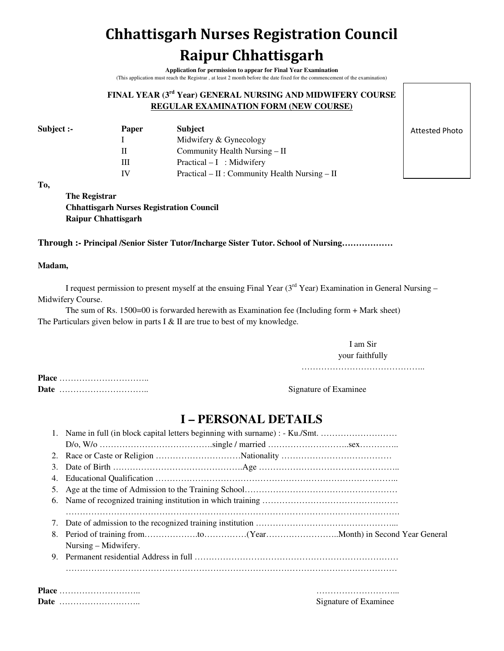# **Chhattisgarh Nurses Registration Council Raipur Chhattisgarh**

**Application for permission to appear for Final Year Examination**  (This application must reach the Registrar , at least 2 month before the date fixed for the commencement of the examination)

### **FINAL YEAR (3rd Year) GENERAL NURSING AND MIDWIFERY COURSE REGULAR EXAMINATION FORM (NEW COURSE)**

| Subject :- | <b>Paper</b> | <b>Subject</b>                                 |
|------------|--------------|------------------------------------------------|
|            |              | Midwifery & Gynecology                         |
|            | н            | Community Health Nursing – II                  |
|            | Ш            | $Practical - I$ : Midwifery                    |
|            | IV           | Practical – II : Community Health Nursing – II |

Attested Photo

**To,** 

**The Registrar Chhattisgarh Nurses Registration Council Raipur Chhattisgarh** 

**Through :- Principal /Senior Sister Tutor/Incharge Sister Tutor. School of Nursing………………** 

### **Madam,**

I request permission to present myself at the ensuing Final Year  $(3<sup>rd</sup> Year)$  Examination in General Nursing – Midwifery Course.

The sum of Rs. 1500=00 is forwarded herewith as Examination fee (Including form + Mark sheet) The Particulars given below in parts I  $&$  II are true to best of my knowledge.

> I am Sir your faithfully

……………………………………..

**Place** ………………………….. **Date** ………………………….. Signature of Examinee

### **I – PERSONAL DETAILS**

|    | Name in full (in block capital letters beginning with surname) : - Ku./Smt. |  |  |  |  |  |
|----|-----------------------------------------------------------------------------|--|--|--|--|--|
|    |                                                                             |  |  |  |  |  |
|    |                                                                             |  |  |  |  |  |
| 3. |                                                                             |  |  |  |  |  |
| 4. |                                                                             |  |  |  |  |  |
|    |                                                                             |  |  |  |  |  |
| 6. |                                                                             |  |  |  |  |  |
|    |                                                                             |  |  |  |  |  |
| 7. |                                                                             |  |  |  |  |  |
| 8. |                                                                             |  |  |  |  |  |
|    | Nursing – Midwifery.                                                        |  |  |  |  |  |
| 9. |                                                                             |  |  |  |  |  |
|    |                                                                             |  |  |  |  |  |
|    |                                                                             |  |  |  |  |  |
|    | <b>Place</b>                                                                |  |  |  |  |  |
|    | $\sim$ $\sim$ $\sim$ $\sim$ $\sim$ $\sim$                                   |  |  |  |  |  |

**Date** ……………………….. Signature of Examinee